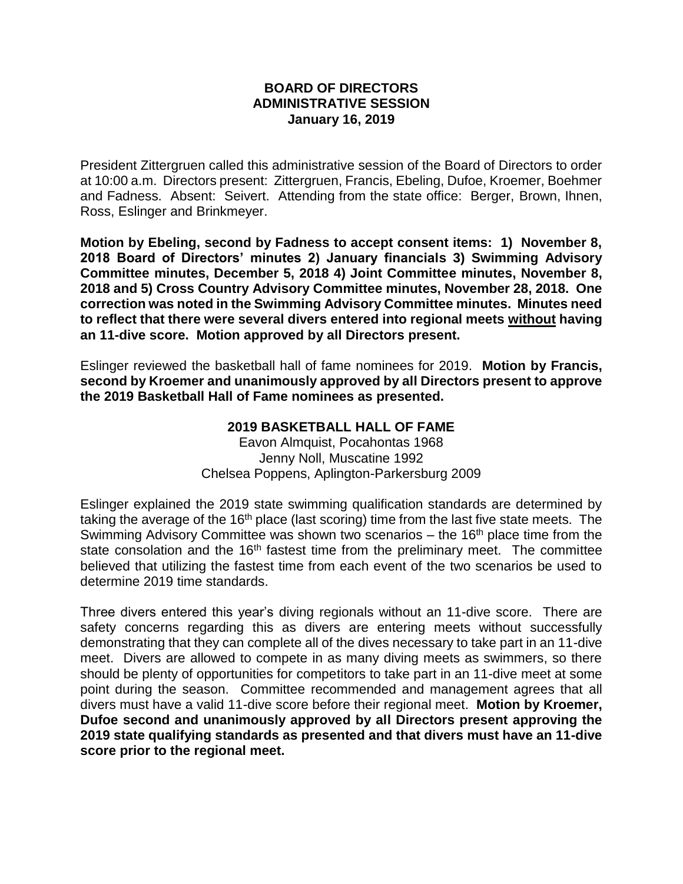## **BOARD OF DIRECTORS ADMINISTRATIVE SESSION January 16, 2019**

President Zittergruen called this administrative session of the Board of Directors to order at 10:00 a.m. Directors present: Zittergruen, Francis, Ebeling, Dufoe, Kroemer, Boehmer and Fadness. Absent: Seivert. Attending from the state office: Berger, Brown, Ihnen, Ross, Eslinger and Brinkmeyer.

**Motion by Ebeling, second by Fadness to accept consent items: 1) November 8, 2018 Board of Directors' minutes 2) January financials 3) Swimming Advisory Committee minutes, December 5, 2018 4) Joint Committee minutes, November 8, 2018 and 5) Cross Country Advisory Committee minutes, November 28, 2018. One correction was noted in the Swimming Advisory Committee minutes. Minutes need to reflect that there were several divers entered into regional meets without having an 11-dive score. Motion approved by all Directors present.**

Eslinger reviewed the basketball hall of fame nominees for 2019. **Motion by Francis, second by Kroemer and unanimously approved by all Directors present to approve the 2019 Basketball Hall of Fame nominees as presented.**

## **2019 BASKETBALL HALL OF FAME**

Eavon Almquist, Pocahontas 1968 Jenny Noll, Muscatine 1992 Chelsea Poppens, Aplington-Parkersburg 2009

Eslinger explained the 2019 state swimming qualification standards are determined by taking the average of the  $16<sup>th</sup>$  place (last scoring) time from the last five state meets. The Swimming Advisory Committee was shown two scenarios  $-$  the 16<sup>th</sup> place time from the state consolation and the 16<sup>th</sup> fastest time from the preliminary meet. The committee believed that utilizing the fastest time from each event of the two scenarios be used to determine 2019 time standards.

Three divers entered this year's diving regionals without an 11-dive score. There are safety concerns regarding this as divers are entering meets without successfully demonstrating that they can complete all of the dives necessary to take part in an 11-dive meet. Divers are allowed to compete in as many diving meets as swimmers, so there should be plenty of opportunities for competitors to take part in an 11-dive meet at some point during the season. Committee recommended and management agrees that all divers must have a valid 11-dive score before their regional meet. **Motion by Kroemer, Dufoe second and unanimously approved by all Directors present approving the 2019 state qualifying standards as presented and that divers must have an 11-dive score prior to the regional meet.**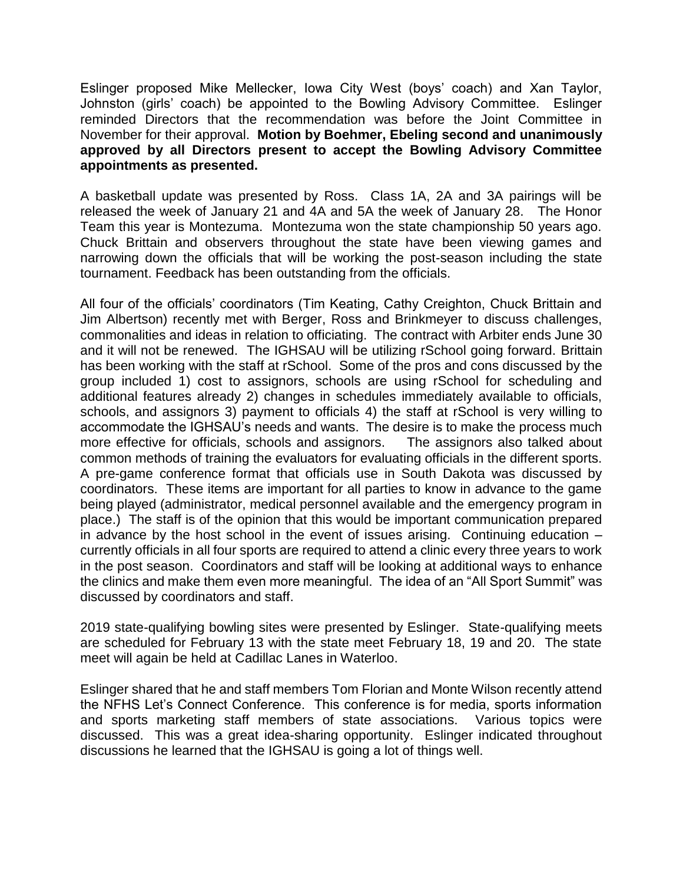Eslinger proposed Mike Mellecker, Iowa City West (boys' coach) and Xan Taylor, Johnston (girls' coach) be appointed to the Bowling Advisory Committee. Eslinger reminded Directors that the recommendation was before the Joint Committee in November for their approval. **Motion by Boehmer, Ebeling second and unanimously approved by all Directors present to accept the Bowling Advisory Committee appointments as presented.**

A basketball update was presented by Ross. Class 1A, 2A and 3A pairings will be released the week of January 21 and 4A and 5A the week of January 28. The Honor Team this year is Montezuma. Montezuma won the state championship 50 years ago. Chuck Brittain and observers throughout the state have been viewing games and narrowing down the officials that will be working the post-season including the state tournament. Feedback has been outstanding from the officials.

All four of the officials' coordinators (Tim Keating, Cathy Creighton, Chuck Brittain and Jim Albertson) recently met with Berger, Ross and Brinkmeyer to discuss challenges, commonalities and ideas in relation to officiating. The contract with Arbiter ends June 30 and it will not be renewed. The IGHSAU will be utilizing rSchool going forward. Brittain has been working with the staff at rSchool. Some of the pros and cons discussed by the group included 1) cost to assignors, schools are using rSchool for scheduling and additional features already 2) changes in schedules immediately available to officials, schools, and assignors 3) payment to officials 4) the staff at rSchool is very willing to accommodate the IGHSAU's needs and wants. The desire is to make the process much more effective for officials, schools and assignors. The assignors also talked about common methods of training the evaluators for evaluating officials in the different sports. A pre-game conference format that officials use in South Dakota was discussed by coordinators. These items are important for all parties to know in advance to the game being played (administrator, medical personnel available and the emergency program in place.) The staff is of the opinion that this would be important communication prepared in advance by the host school in the event of issues arising. Continuing education – currently officials in all four sports are required to attend a clinic every three years to work in the post season. Coordinators and staff will be looking at additional ways to enhance the clinics and make them even more meaningful. The idea of an "All Sport Summit" was discussed by coordinators and staff.

2019 state-qualifying bowling sites were presented by Eslinger. State-qualifying meets are scheduled for February 13 with the state meet February 18, 19 and 20. The state meet will again be held at Cadillac Lanes in Waterloo.

Eslinger shared that he and staff members Tom Florian and Monte Wilson recently attend the NFHS Let's Connect Conference. This conference is for media, sports information and sports marketing staff members of state associations. Various topics were discussed. This was a great idea-sharing opportunity. Eslinger indicated throughout discussions he learned that the IGHSAU is going a lot of things well.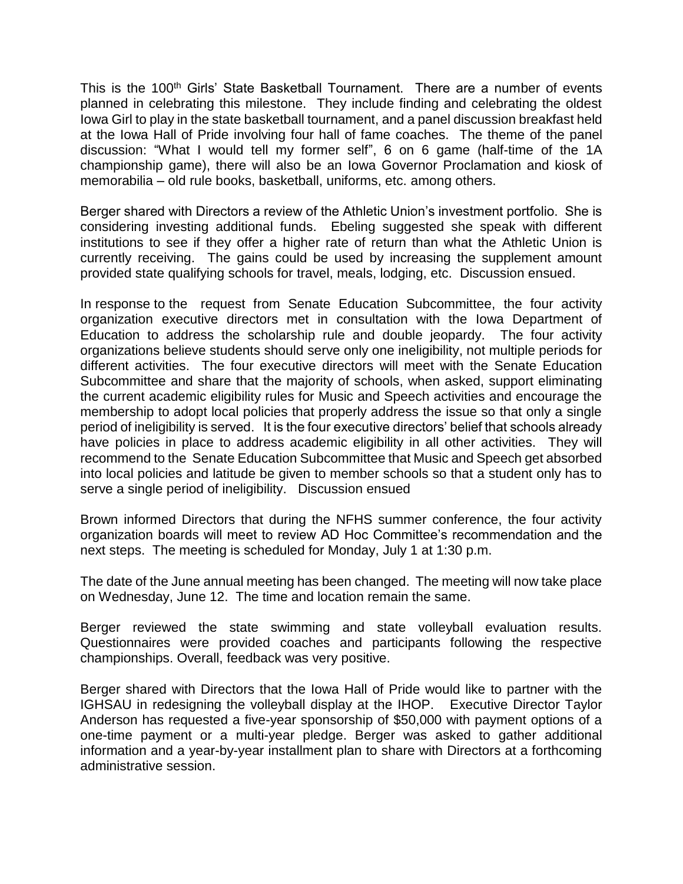This is the 100<sup>th</sup> Girls' State Basketball Tournament. There are a number of events planned in celebrating this milestone. They include finding and celebrating the oldest Iowa Girl to play in the state basketball tournament, and a panel discussion breakfast held at the Iowa Hall of Pride involving four hall of fame coaches. The theme of the panel discussion: "What I would tell my former self", 6 on 6 game (half-time of the 1A championship game), there will also be an Iowa Governor Proclamation and kiosk of memorabilia – old rule books, basketball, uniforms, etc. among others.

Berger shared with Directors a review of the Athletic Union's investment portfolio. She is considering investing additional funds. Ebeling suggested she speak with different institutions to see if they offer a higher rate of return than what the Athletic Union is currently receiving. The gains could be used by increasing the supplement amount provided state qualifying schools for travel, meals, lodging, etc. Discussion ensued.

In response to the request from Senate Education Subcommittee, the four activity organization executive directors met in consultation with the Iowa Department of Education to address the scholarship rule and double jeopardy. The four activity organizations believe students should serve only one ineligibility, not multiple periods for different activities. The four executive directors will meet with the Senate Education Subcommittee and share that the majority of schools, when asked, support eliminating the current academic eligibility rules for Music and Speech activities and encourage the membership to adopt local policies that properly address the issue so that only a single period of ineligibility is served. It is the four executive directors' belief that schools already have policies in place to address academic eligibility in all other activities. They will recommend to the Senate Education Subcommittee that Music and Speech get absorbed into local policies and latitude be given to member schools so that a student only has to serve a single period of ineligibility. Discussion ensued

Brown informed Directors that during the NFHS summer conference, the four activity organization boards will meet to review AD Hoc Committee's recommendation and the next steps. The meeting is scheduled for Monday, July 1 at 1:30 p.m.

The date of the June annual meeting has been changed. The meeting will now take place on Wednesday, June 12. The time and location remain the same.

Berger reviewed the state swimming and state volleyball evaluation results. Questionnaires were provided coaches and participants following the respective championships. Overall, feedback was very positive.

Berger shared with Directors that the Iowa Hall of Pride would like to partner with the IGHSAU in redesigning the volleyball display at the IHOP. Executive Director Taylor Anderson has requested a five-year sponsorship of \$50,000 with payment options of a one-time payment or a multi-year pledge. Berger was asked to gather additional information and a year-by-year installment plan to share with Directors at a forthcoming administrative session.